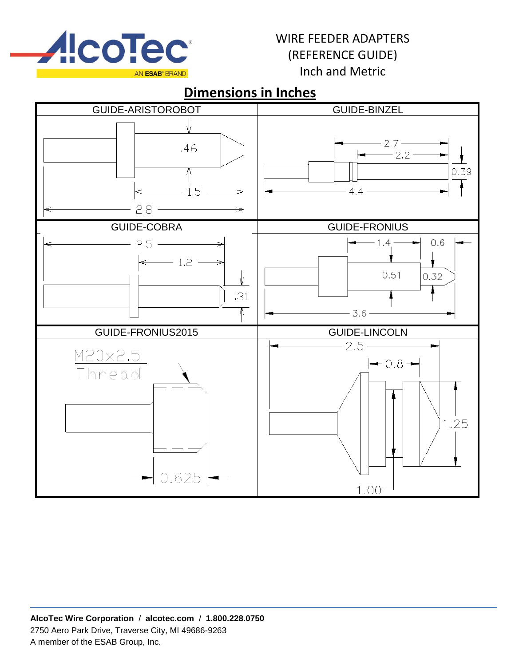

# **Dimensions in Inches**

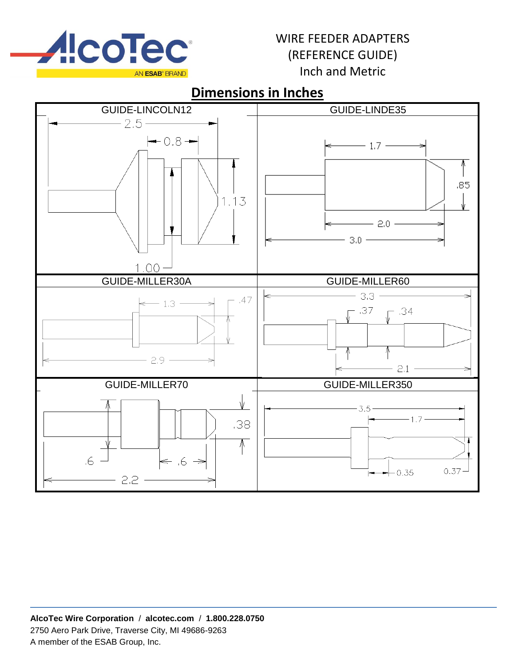

# **Dimensions in Inches**

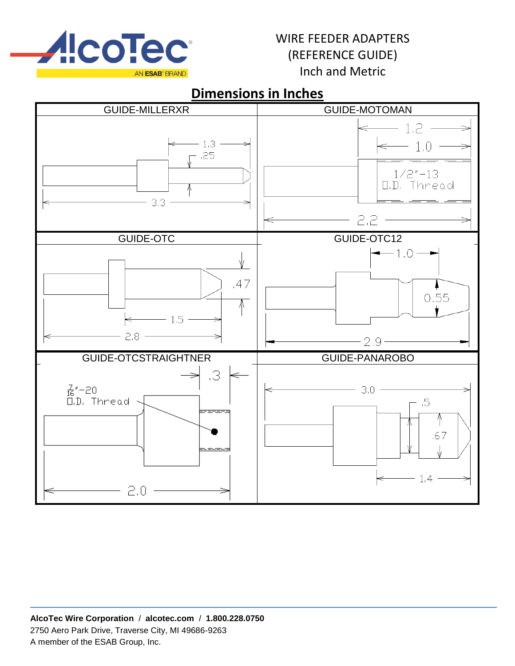

### **Dimensions in Inches**

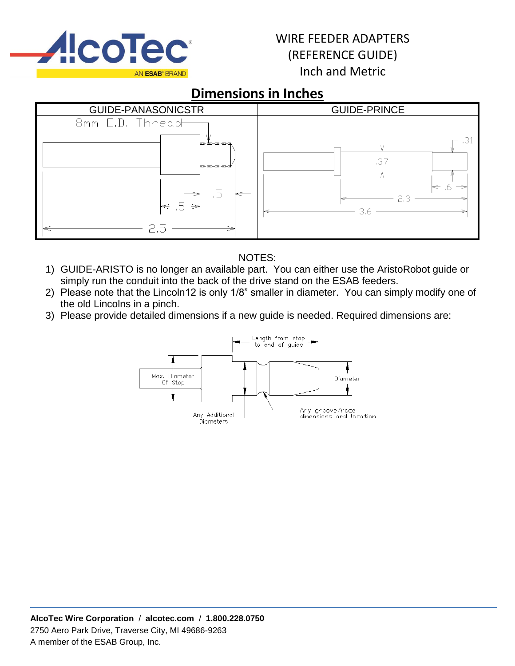

# **Dimensions in Inches**



#### NOTES:

- 1) GUIDE-ARISTO is no longer an available part. You can either use the AristoRobot guide or simply run the conduit into the back of the drive stand on the ESAB feeders.
- 2) Please note that the Lincoln12 is only 1/8" smaller in diameter. You can simply modify one of the old Lincolns in a pinch.
- 3) Please provide detailed dimensions if a new guide is needed. Required dimensions are:

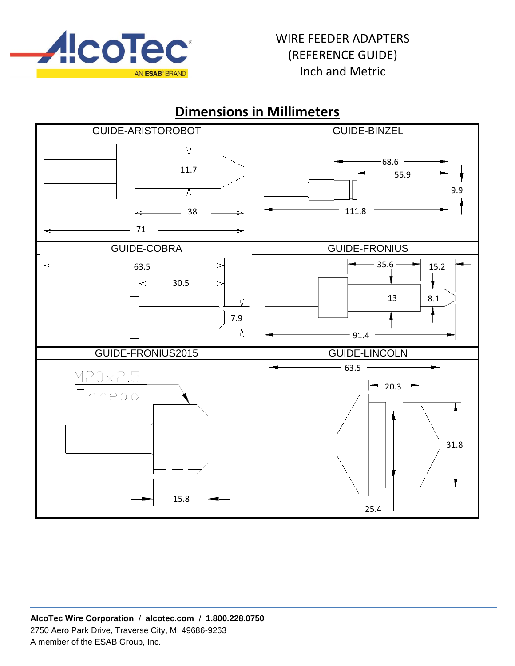

 $25.4$ 

### GUIDE-ARISTOROBOT **GUIDE-BINZEL** 68.6 11.7 55.9 1 9.9 ⋔ Å 38 111.8 71 GUIDE-COBRA GUIDE-FRONIUS 63.5  $\longrightarrow$   $\longrightarrow$   $\longrightarrow$  15.2  $-30.5$ 13 | 8.1 V 7.9 ⋔ 91.4 GUIDE-FRONIUS2015 | GUIDE-LINCOLN  $-63.5$ M20x2.5  $-$  20.3  $-$ Thread 31.8 15.8

# **Dimensions in Millimeters**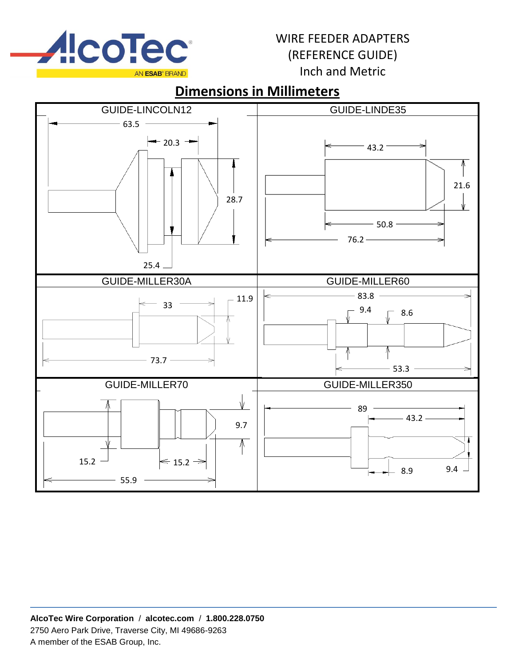

# **Dimensions in Millimeters**

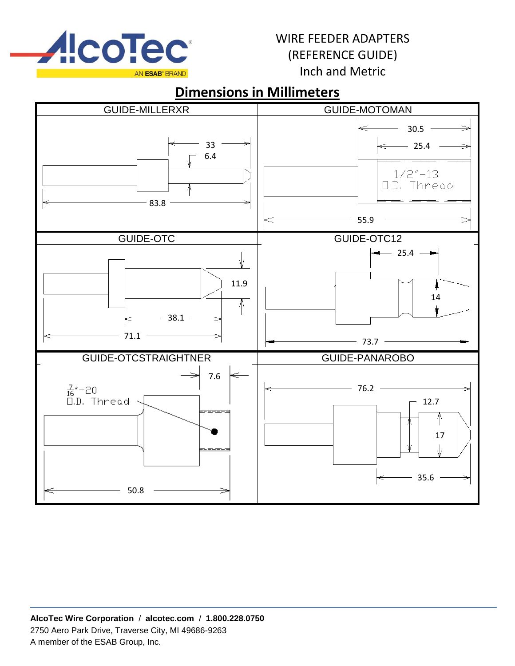

# **Dimensions in Millimeters**